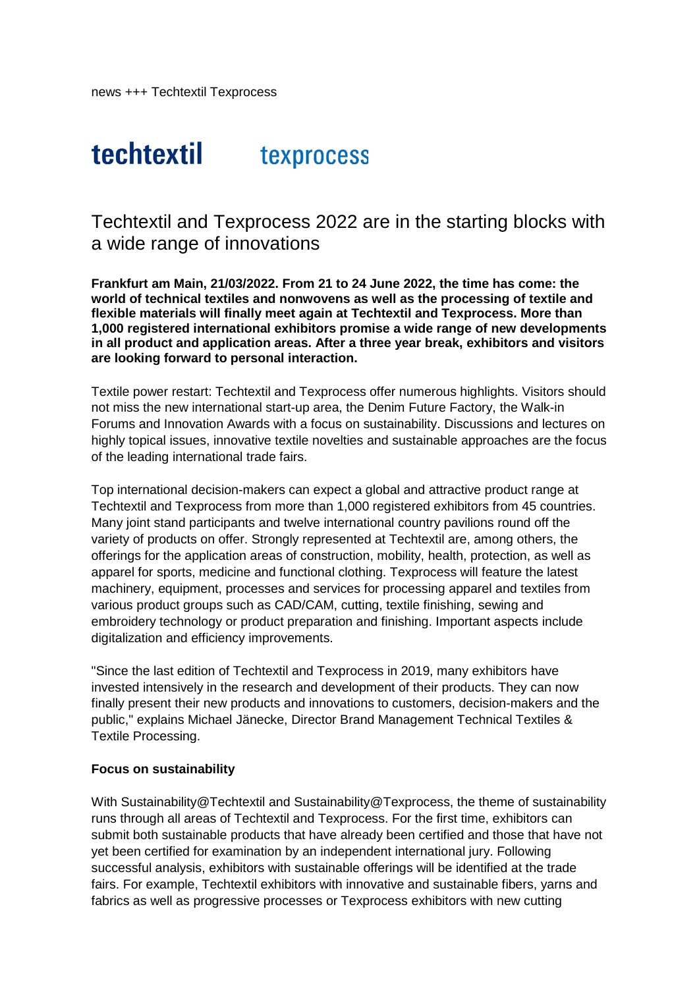# techtextil texprocess

Techtextil and Texprocess 2022 are in the starting blocks with a wide range of innovations

**Frankfurt am Main, 21/03/2022. From 21 to 24 June 2022, the time has come: the world of technical textiles and nonwovens as well as the processing of textile and flexible materials will finally meet again at Techtextil and Texprocess. More than 1,000 registered international exhibitors promise a wide range of new developments in all product and application areas. After a three year break, exhibitors and visitors are looking forward to personal interaction.** 

Textile power restart: Techtextil and Texprocess offer numerous highlights. Visitors should not miss the new international start-up area, the Denim Future Factory, the Walk-in Forums and Innovation Awards with a focus on sustainability. Discussions and lectures on highly topical issues, innovative textile novelties and sustainable approaches are the focus of the leading international trade fairs.

Top international decision-makers can expect a global and attractive product range at Techtextil and Texprocess from more than 1,000 registered exhibitors from 45 countries. Many joint stand participants and twelve international country pavilions round off the variety of products on offer. Strongly represented at Techtextil are, among others, the offerings for the application areas of construction, mobility, health, protection, as well as apparel for sports, medicine and functional clothing. Texprocess will feature the latest machinery, equipment, processes and services for processing apparel and textiles from various product groups such as CAD/CAM, cutting, textile finishing, sewing and embroidery technology or product preparation and finishing. Important aspects include digitalization and efficiency improvements.

"Since the last edition of Techtextil and Texprocess in 2019, many exhibitors have invested intensively in the research and development of their products. They can now finally present their new products and innovations to customers, decision-makers and the public," explains Michael Jänecke, Director Brand Management Technical Textiles & Textile Processing.

### **Focus on sustainability**

With Sustainability@Techtextil and Sustainability@Texprocess, the theme of sustainability runs through all areas of Techtextil and Texprocess. For the first time, exhibitors can submit both sustainable products that have already been certified and those that have not yet been certified for examination by an independent international jury. Following successful analysis, exhibitors with sustainable offerings will be identified at the trade fairs. For example, Techtextil exhibitors with innovative and sustainable fibers, yarns and fabrics as well as progressive processes or Texprocess exhibitors with new cutting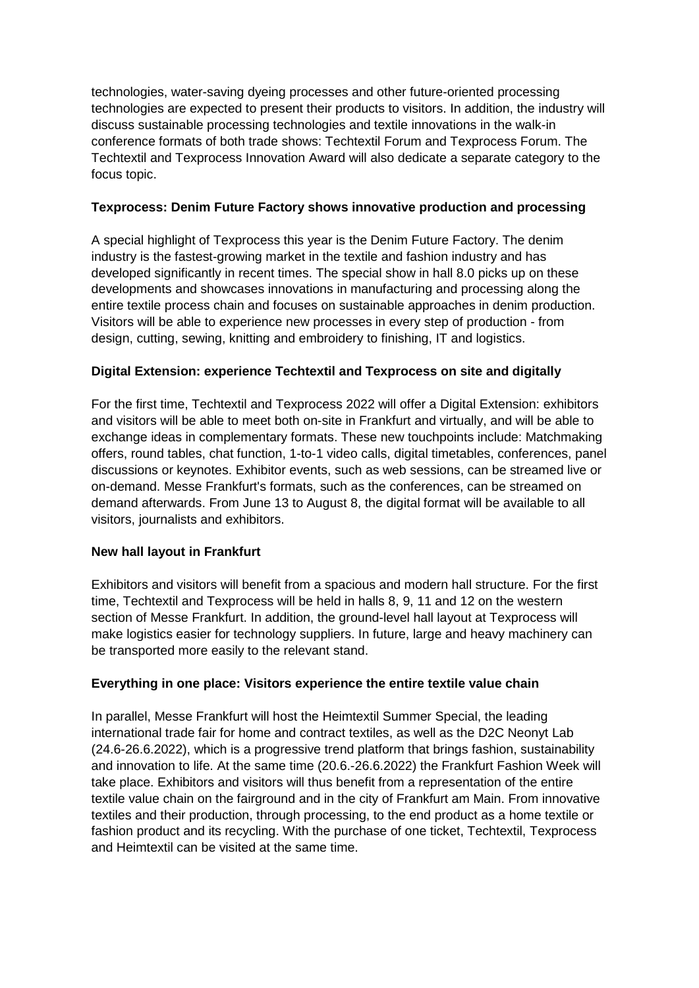technologies, water-saving dyeing processes and other future-oriented processing technologies are expected to present their products to visitors. In addition, the industry will discuss sustainable processing technologies and textile innovations in the walk-in conference formats of both trade shows: Techtextil Forum and Texprocess Forum. The Techtextil and Texprocess Innovation Award will also dedicate a separate category to the focus topic.

## **Texprocess: Denim Future Factory shows innovative production and processing**

A special highlight of Texprocess this year is the Denim Future Factory. The denim industry is the fastest-growing market in the textile and fashion industry and has developed significantly in recent times. The special show in hall 8.0 picks up on these developments and showcases innovations in manufacturing and processing along the entire textile process chain and focuses on sustainable approaches in denim production. Visitors will be able to experience new processes in every step of production - from design, cutting, sewing, knitting and embroidery to finishing, IT and logistics.

## **Digital Extension: experience Techtextil and Texprocess on site and digitally**

For the first time, Techtextil and Texprocess 2022 will offer a Digital Extension: exhibitors and visitors will be able to meet both on-site in Frankfurt and virtually, and will be able to exchange ideas in complementary formats. These new touchpoints include: Matchmaking offers, round tables, chat function, 1-to-1 video calls, digital timetables, conferences, panel discussions or keynotes. Exhibitor events, such as web sessions, can be streamed live or on-demand. Messe Frankfurt's formats, such as the conferences, can be streamed on demand afterwards. From June 13 to August 8, the digital format will be available to all visitors, journalists and exhibitors.

### **New hall layout in Frankfurt**

Exhibitors and visitors will benefit from a spacious and modern hall structure. For the first time, Techtextil and Texprocess will be held in halls 8, 9, 11 and 12 on the western section of Messe Frankfurt. In addition, the ground-level hall layout at Texprocess will make logistics easier for technology suppliers. In future, large and heavy machinery can be transported more easily to the relevant stand.

# **Everything in one place: Visitors experience the entire textile value chain**

In parallel, Messe Frankfurt will host the Heimtextil Summer Special, the leading international trade fair for home and contract textiles, as well as the D2C Neonyt Lab (24.6-26.6.2022), which is a progressive trend platform that brings fashion, sustainability and innovation to life. At the same time (20.6.-26.6.2022) the Frankfurt Fashion Week will take place. Exhibitors and visitors will thus benefit from a representation of the entire textile value chain on the fairground and in the city of Frankfurt am Main. From innovative textiles and their production, through processing, to the end product as a home textile or fashion product and its recycling. With the purchase of one ticket, Techtextil, Texprocess and Heimtextil can be visited at the same time.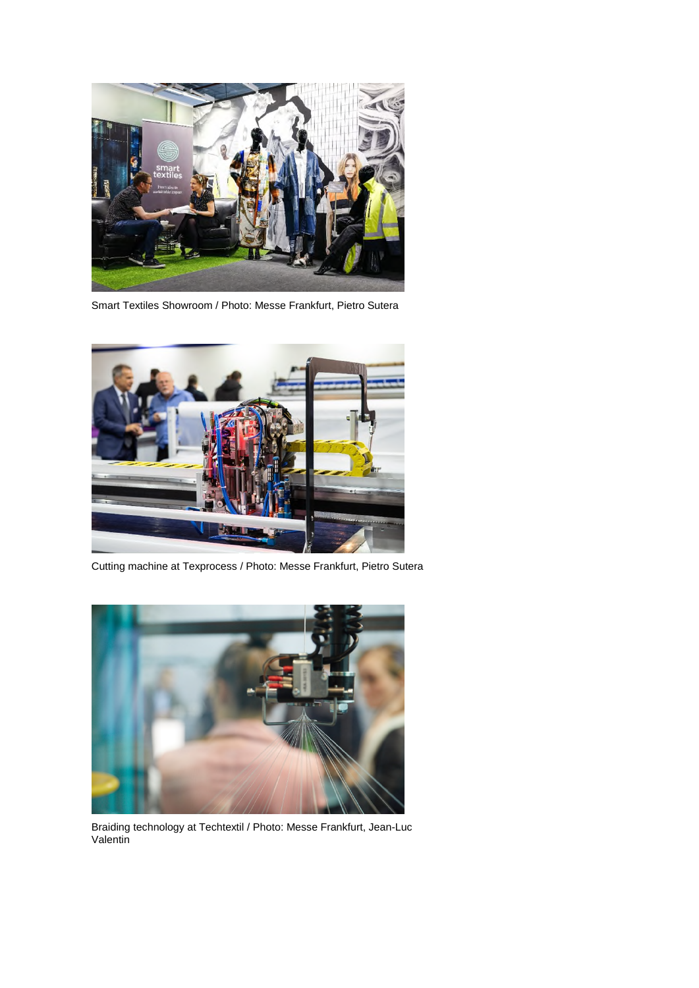

Smart Textiles Showroom / Photo: Messe Frankfurt, Pietro Sutera



Cutting machine at Texprocess / Photo: Messe Frankfurt, Pietro Sutera



Braiding technology at Techtextil / Photo: Messe Frankfurt, Jean-Luc Valentin